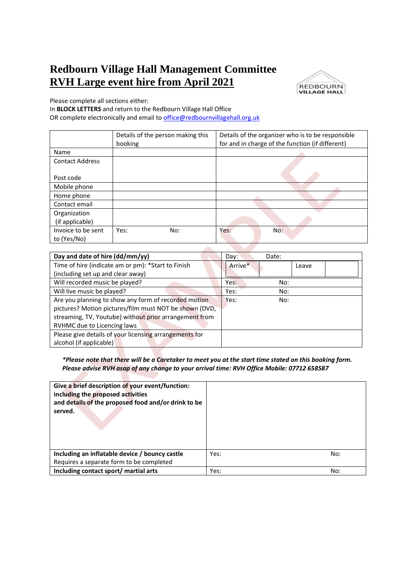## **Redbourn Village Hall Management Committee RVH Large event hire from April 2021**



Please complete all sections either:

In **BLOCK LETTERS** and return to the Redbourn Village Hall Office OR complete electronically and email to [office@redbournvillagehall.org.uk](mailto:office@redbournvillagehall.org.uk) 

|                                   | Details of the person making this<br>booking | Details of the organizer who is to be responsible<br>for and in charge of the function (if different) |
|-----------------------------------|----------------------------------------------|-------------------------------------------------------------------------------------------------------|
| Name                              |                                              |                                                                                                       |
| <b>Contact Address</b>            |                                              |                                                                                                       |
| Post code                         |                                              |                                                                                                       |
| Mobile phone                      |                                              |                                                                                                       |
| Home phone                        |                                              |                                                                                                       |
| Contact email                     |                                              |                                                                                                       |
| Organization                      |                                              |                                                                                                       |
| (if applicable)                   |                                              |                                                                                                       |
| Invoice to be sent<br>to (Yes/No) | Yes:<br>No:                                  | Yes:<br>No:                                                                                           |

| Day and date of hire (dd/mm/yy)                        | Day:<br>Date:    |
|--------------------------------------------------------|------------------|
| Time of hire (indicate am or pm): *Start to Finish     | Arrive*<br>Leave |
| (including set up and clear away)                      |                  |
| Will recorded music be played?                         | Yes:<br>No:      |
| Will live music be played?                             | Yes:<br>No:      |
| Are you planning to show any form of recorded motion   | Yes:<br>No:      |
| pictures? Motion pictures/film must NOT be shown (DVD, |                  |
| streaming, TV, Youtube) without prior arrangement from |                  |
| RVHMC due to Licencing laws                            |                  |
| Please give details of your licensing arrangements for |                  |
| alcohol (if applicable)                                |                  |

*\*Please note that there will be a Caretaker to meet you at the start time stated on this booking form. Please advise RVH asap of any change to your arrival time: RVH Office Mobile: 07712 658587*

| Give a brief description of your event/function:<br>including the proposed activities<br>and details of the proposed food and/or drink to be<br>served. |      |     |
|---------------------------------------------------------------------------------------------------------------------------------------------------------|------|-----|
| Including an inflatable device / bouncy castle                                                                                                          | Yes: | No: |
| Requires a separate form to be completed                                                                                                                |      |     |
| Including contact sport/ martial arts                                                                                                                   | Yes: | No: |